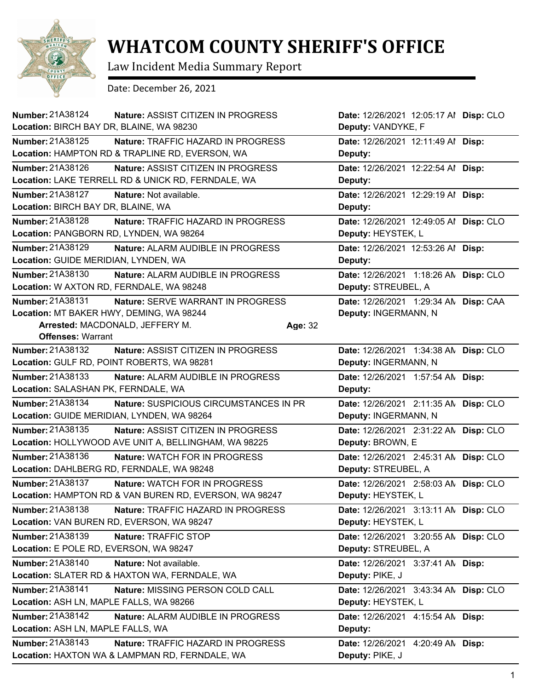

## **WHATCOM COUNTY SHERIFF'S OFFICE**

Law Incident Media Summary Report

Date: December 26, 2021

| Number: 21A38124<br>Location: BIRCH BAY DR, BLAINE, WA 98230 | <b>Nature: ASSIST CITIZEN IN PROGRESS</b>              |         | Date: 12/26/2021 12:05:17 Al Disp: CLO<br>Deputy: VANDYKE, F |           |
|--------------------------------------------------------------|--------------------------------------------------------|---------|--------------------------------------------------------------|-----------|
| Number: 21A38125                                             | Nature: TRAFFIC HAZARD IN PROGRESS                     |         | Date: 12/26/2021 12:11:49 Al Disp:                           |           |
|                                                              | Location: HAMPTON RD & TRAPLINE RD, EVERSON, WA        |         | Deputy:                                                      |           |
| Number: 21A38126                                             | <b>Nature: ASSIST CITIZEN IN PROGRESS</b>              |         | Date: 12/26/2021 12:22:54 Al Disp:                           |           |
|                                                              | Location: LAKE TERRELL RD & UNICK RD, FERNDALE, WA     |         | Deputy:                                                      |           |
| <b>Number: 21A38127</b>                                      | Nature: Not available.                                 |         | Date: 12/26/2021 12:29:19 Al Disp:                           |           |
| Location: BIRCH BAY DR, BLAINE, WA                           |                                                        |         | Deputy:                                                      |           |
| <b>Number: 21A38128</b>                                      | Nature: TRAFFIC HAZARD IN PROGRESS                     |         | Date: 12/26/2021 12:49:05 Al Disp: CLO                       |           |
| Location: PANGBORN RD, LYNDEN, WA 98264                      |                                                        |         | Deputy: HEYSTEK, L                                           |           |
| Number: 21A38129                                             | Nature: ALARM AUDIBLE IN PROGRESS                      |         | Date: 12/26/2021 12:53:26 Al Disp:                           |           |
| Location: GUIDE MERIDIAN, LYNDEN, WA                         |                                                        |         | Deputy:                                                      |           |
| Number: 21A38130                                             | Nature: ALARM AUDIBLE IN PROGRESS                      |         | Date: 12/26/2021 1:18:26 AN Disp: CLO                        |           |
| Location: W AXTON RD, FERNDALE, WA 98248                     |                                                        |         | Deputy: STREUBEL, A                                          |           |
| Number: 21A38131                                             | Nature: SERVE WARRANT IN PROGRESS                      |         | Date: 12/26/2021 1:29:34 AN Disp: CAA                        |           |
| Location: MT BAKER HWY, DEMING, WA 98244                     |                                                        |         | Deputy: INGERMANN, N                                         |           |
|                                                              | Arrested: MACDONALD, JEFFERY M.                        | Age: 32 |                                                              |           |
| <b>Offenses: Warrant</b>                                     |                                                        |         |                                                              |           |
| Number: 21A38132                                             | Nature: ASSIST CITIZEN IN PROGRESS                     |         | Date: 12/26/2021 1:34:38 AM                                  | Disp: CLO |
|                                                              | Location: GULF RD, POINT ROBERTS, WA 98281             |         | Deputy: INGERMANN, N                                         |           |
| Number: 21A38133                                             | Nature: ALARM AUDIBLE IN PROGRESS                      |         | Date: 12/26/2021 1:57:54 AN Disp:                            |           |
| Location: SALASHAN PK, FERNDALE, WA                          |                                                        |         | Deputy:                                                      |           |
| Number: 21A38134                                             | Nature: SUSPICIOUS CIRCUMSTANCES IN PR                 |         | Date: 12/26/2021 2:11:35 AN Disp: CLO                        |           |
|                                                              | Location: GUIDE MERIDIAN, LYNDEN, WA 98264             |         | Deputy: INGERMANN, N                                         |           |
| Number: 21A38135                                             | Nature: ASSIST CITIZEN IN PROGRESS                     |         | Date: 12/26/2021 2:31:22 AN Disp: CLO                        |           |
|                                                              | Location: HOLLYWOOD AVE UNIT A, BELLINGHAM, WA 98225   |         | Deputy: BROWN, E                                             |           |
| Number: 21A38136                                             | <b>Nature: WATCH FOR IN PROGRESS</b>                   |         | Date: 12/26/2021 2:45:31 AN Disp: CLO                        |           |
|                                                              | Location: DAHLBERG RD, FERNDALE, WA 98248              |         | Deputy: STREUBEL, A                                          |           |
| Number: 21A38137                                             | Nature: WATCH FOR IN PROGRESS                          |         | Date: 12/26/2021 2:58:03 AN Disp: CLO                        |           |
|                                                              | Location: HAMPTON RD & VAN BUREN RD, EVERSON, WA 98247 |         | Deputy: HEYSTEK, L                                           |           |
| Number: 21A38138                                             | Nature: TRAFFIC HAZARD IN PROGRESS                     |         | Date: 12/26/2021 3:13:11 AN Disp: CLO                        |           |
|                                                              | Location: VAN BUREN RD, EVERSON, WA 98247              |         | Deputy: HEYSTEK, L                                           |           |
| Number: 21A38139                                             | Nature: TRAFFIC STOP                                   |         | Date: 12/26/2021 3:20:55 AN Disp: CLO                        |           |
| Location: E POLE RD, EVERSON, WA 98247                       |                                                        |         | Deputy: STREUBEL, A                                          |           |
| Number: 21A38140                                             | Nature: Not available.                                 |         | Date: 12/26/2021 3:37:41 AN Disp:                            |           |
|                                                              | Location: SLATER RD & HAXTON WA, FERNDALE, WA          |         | Deputy: PIKE, J                                              |           |
| Number: 21A38141                                             | Nature: MISSING PERSON COLD CALL                       |         | Date: 12/26/2021 3:43:34 AN Disp: CLO                        |           |
| Location: ASH LN, MAPLE FALLS, WA 98266                      |                                                        |         | Deputy: HEYSTEK, L                                           |           |
| Number: 21A38142                                             | Nature: ALARM AUDIBLE IN PROGRESS                      |         | Date: 12/26/2021 4:15:54 AN Disp:                            |           |
| Location: ASH LN, MAPLE FALLS, WA                            |                                                        |         | Deputy:                                                      |           |
| Number: 21A38143                                             | Nature: TRAFFIC HAZARD IN PROGRESS                     |         | Date: 12/26/2021 4:20:49 AN Disp:                            |           |
|                                                              | Location: HAXTON WA & LAMPMAN RD, FERNDALE, WA         |         | Deputy: PIKE, J                                              |           |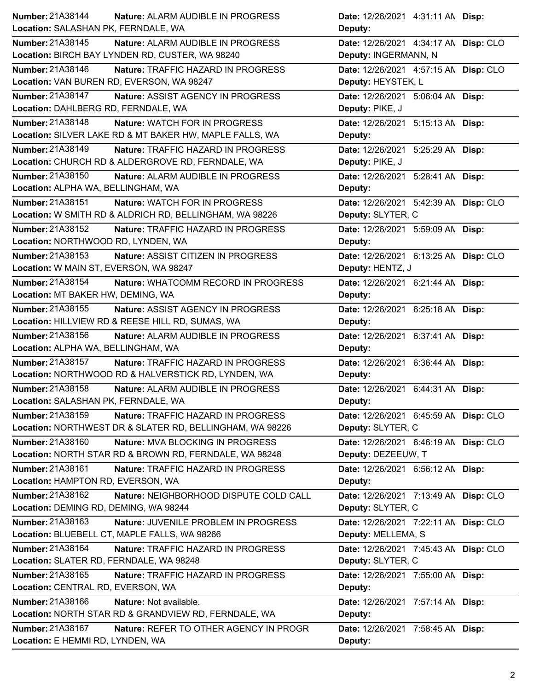| Number: 21A38144                        | Nature: ALARM AUDIBLE IN PROGRESS                        | Date: 12/26/2021 4:31:11 AN Disp:     |
|-----------------------------------------|----------------------------------------------------------|---------------------------------------|
| Location: SALASHAN PK, FERNDALE, WA     |                                                          | Deputy:                               |
| Number: 21A38145                        | Nature: ALARM AUDIBLE IN PROGRESS                        | Date: 12/26/2021 4:34:17 AN Disp: CLO |
|                                         | Location: BIRCH BAY LYNDEN RD, CUSTER, WA 98240          | Deputy: INGERMANN, N                  |
| Number: 21A38146                        | Nature: TRAFFIC HAZARD IN PROGRESS                       | Date: 12/26/2021 4:57:15 AN Disp: CLO |
|                                         | Location: VAN BUREN RD, EVERSON, WA 98247                | Deputy: HEYSTEK, L                    |
| <b>Number: 21A38147</b>                 | Nature: ASSIST AGENCY IN PROGRESS                        | Date: 12/26/2021 5:06:04 AN Disp:     |
| Location: DAHLBERG RD, FERNDALE, WA     |                                                          | Deputy: PIKE, J                       |
| Number: 21A38148                        | Nature: WATCH FOR IN PROGRESS                            | Date: 12/26/2021 5:15:13 AN Disp:     |
|                                         | Location: SILVER LAKE RD & MT BAKER HW, MAPLE FALLS, WA  | Deputy:                               |
| Number: 21A38149                        | Nature: TRAFFIC HAZARD IN PROGRESS                       | Date: 12/26/2021 5:25:29 AN Disp:     |
|                                         | Location: CHURCH RD & ALDERGROVE RD, FERNDALE, WA        | Deputy: PIKE, J                       |
| Number: 21A38150                        | Nature: ALARM AUDIBLE IN PROGRESS                        | Date: 12/26/2021 5:28:41 AN Disp:     |
| Location: ALPHA WA, BELLINGHAM, WA      |                                                          | Deputy:                               |
| Number: 21A38151                        | Nature: WATCH FOR IN PROGRESS                            | Date: 12/26/2021 5:42:39 AN Disp: CLO |
|                                         | Location: W SMITH RD & ALDRICH RD, BELLINGHAM, WA 98226  | Deputy: SLYTER, C                     |
| Number: 21A38152                        | <b>Nature: TRAFFIC HAZARD IN PROGRESS</b>                | Date: 12/26/2021 5:59:09 AN Disp:     |
| Location: NORTHWOOD RD, LYNDEN, WA      |                                                          | Deputy:                               |
| Number: 21A38153                        | Nature: ASSIST CITIZEN IN PROGRESS                       | Date: 12/26/2021 6:13:25 AN Disp: CLO |
| Location: W MAIN ST, EVERSON, WA 98247  |                                                          | Deputy: HENTZ, J                      |
| Number: 21A38154                        | Nature: WHATCOMM RECORD IN PROGRESS                      | Date: 12/26/2021 6:21:44 AN Disp:     |
| Location: MT BAKER HW, DEMING, WA       |                                                          | Deputy:                               |
| Number: 21A38155                        | <b>Nature: ASSIST AGENCY IN PROGRESS</b>                 | Date: 12/26/2021 6:25:18 AN Disp:     |
|                                         | Location: HILLVIEW RD & REESE HILL RD, SUMAS, WA         | Deputy:                               |
|                                         |                                                          |                                       |
| Number: 21A38156                        | Nature: ALARM AUDIBLE IN PROGRESS                        | Date: 12/26/2021 6:37:41 AM Disp:     |
| Location: ALPHA WA, BELLINGHAM, WA      |                                                          | Deputy:                               |
| Number: 21A38157                        | Nature: TRAFFIC HAZARD IN PROGRESS                       | Date: 12/26/2021 6:36:44 AN Disp:     |
|                                         | Location: NORTHWOOD RD & HALVERSTICK RD, LYNDEN, WA      | Deputy:                               |
| Number: 21A38158                        | Nature: ALARM AUDIBLE IN PROGRESS                        | Date: 12/26/2021 6:44:31 AN Disp:     |
| Location: SALASHAN PK, FERNDALE, WA     |                                                          | Deputy:                               |
| Number: 21A38159                        | Nature: TRAFFIC HAZARD IN PROGRESS                       | Date: 12/26/2021 6:45:59 AN Disp: CLO |
|                                         | Location: NORTHWEST DR & SLATER RD, BELLINGHAM, WA 98226 | Deputy: SLYTER, C                     |
| Number: 21A38160                        | Nature: MVA BLOCKING IN PROGRESS                         | Date: 12/26/2021 6:46:19 AN Disp: CLO |
|                                         | Location: NORTH STAR RD & BROWN RD, FERNDALE, WA 98248   | Deputy: DEZEEUW, T                    |
| Number: 21A38161                        | Nature: TRAFFIC HAZARD IN PROGRESS                       | Date: 12/26/2021 6:56:12 AN Disp:     |
| Location: HAMPTON RD, EVERSON, WA       |                                                          | Deputy:                               |
| Number: 21A38162                        | Nature: NEIGHBORHOOD DISPUTE COLD CALL                   | Date: 12/26/2021 7:13:49 AN Disp: CLO |
| Location: DEMING RD, DEMING, WA 98244   |                                                          | Deputy: SLYTER, C                     |
| Number: 21A38163                        | Nature: JUVENILE PROBLEM IN PROGRESS                     | Date: 12/26/2021 7:22:11 AN Disp: CLO |
|                                         | Location: BLUEBELL CT, MAPLE FALLS, WA 98266             | Deputy: MELLEMA, S                    |
| Number: 21A38164                        | Nature: TRAFFIC HAZARD IN PROGRESS                       | Date: 12/26/2021 7:45:43 AN Disp: CLO |
| Location: SLATER RD, FERNDALE, WA 98248 |                                                          | Deputy: SLYTER, C                     |
| Number: 21A38165                        | Nature: TRAFFIC HAZARD IN PROGRESS                       | Date: 12/26/2021 7:55:00 AM Disp:     |
| Location: CENTRAL RD, EVERSON, WA       |                                                          | Deputy:                               |
| Number: 21A38166                        | Nature: Not available.                                   | Date: 12/26/2021 7:57:14 AN Disp:     |
|                                         | Location: NORTH STAR RD & GRANDVIEW RD, FERNDALE, WA     | Deputy:                               |
| Number: 21A38167                        | Nature: REFER TO OTHER AGENCY IN PROGR                   | Date: 12/26/2021 7:58:45 AN Disp:     |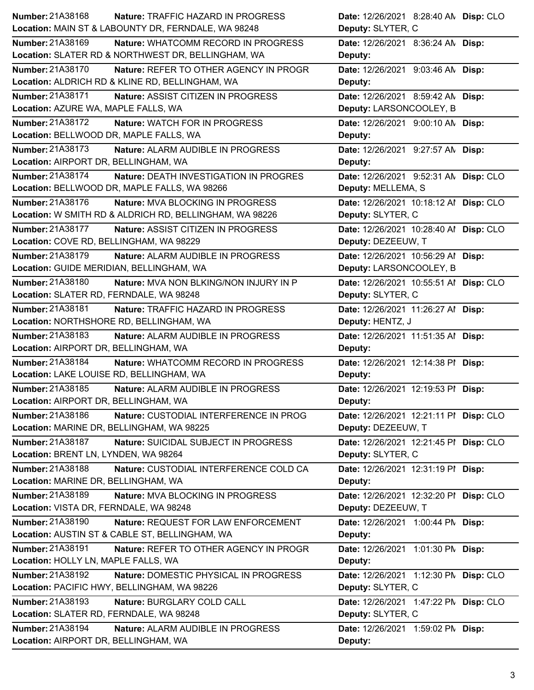| Number: 21A38168<br>Nature: TRAFFIC HAZARD IN PROGRESS                | Date: 12/26/2021 8:28:40 AN Disp: CLO                        |
|-----------------------------------------------------------------------|--------------------------------------------------------------|
| Location: MAIN ST & LABOUNTY DR, FERNDALE, WA 98248                   | Deputy: SLYTER, C                                            |
| <b>Number: 21A38169</b><br><b>Nature: WHATCOMM RECORD IN PROGRESS</b> | Date: 12/26/2021 8:36:24 AN Disp:                            |
| Location: SLATER RD & NORTHWEST DR, BELLINGHAM, WA                    | Deputy:                                                      |
| Number: 21A38170<br>Nature: REFER TO OTHER AGENCY IN PROGR            | Date: 12/26/2021 9:03:46 AN Disp:                            |
| Location: ALDRICH RD & KLINE RD, BELLINGHAM, WA                       | Deputy:                                                      |
| <b>Number: 21A38171</b><br>Nature: ASSIST CITIZEN IN PROGRESS         | Date: 12/26/2021 8:59:42 AN Disp:                            |
| Location: AZURE WA, MAPLE FALLS, WA                                   | Deputy: LARSONCOOLEY, B                                      |
| Number: 21A38172<br>Nature: WATCH FOR IN PROGRESS                     | Date: 12/26/2021 9:00:10 AN Disp:                            |
| Location: BELLWOOD DR, MAPLE FALLS, WA                                | Deputy:                                                      |
| Number: 21A38173<br>Nature: ALARM AUDIBLE IN PROGRESS                 | Date: 12/26/2021 9:27:57 AN Disp:                            |
| Location: AIRPORT DR, BELLINGHAM, WA                                  | Deputy:                                                      |
| Number: 21A38174<br><b>Nature: DEATH INVESTIGATION IN PROGRES</b>     | Date: 12/26/2021 9:52:31 AN Disp: CLO                        |
| Location: BELLWOOD DR, MAPLE FALLS, WA 98266                          | Deputy: MELLEMA, S                                           |
| Number: 21A38176<br>Nature: MVA BLOCKING IN PROGRESS                  | Date: 12/26/2021 10:18:12 Al Disp: CLO                       |
| Location: W SMITH RD & ALDRICH RD, BELLINGHAM, WA 98226               | Deputy: SLYTER, C                                            |
| <b>Number: 21A38177</b><br>Nature: ASSIST CITIZEN IN PROGRESS         | Date: 12/26/2021 10:28:40 Al Disp: CLO                       |
| Location: COVE RD, BELLINGHAM, WA 98229                               | Deputy: DEZEEUW, T                                           |
| Number: 21A38179<br>Nature: ALARM AUDIBLE IN PROGRESS                 | Date: 12/26/2021 10:56:29 Al Disp:                           |
| Location: GUIDE MERIDIAN, BELLINGHAM, WA                              | Deputy: LARSONCOOLEY, B                                      |
| <b>Number: 21A38180</b><br>Nature: MVA NON BLKING/NON INJURY IN P     | Date: 12/26/2021 10:55:51 Al Disp: CLO                       |
| Location: SLATER RD, FERNDALE, WA 98248                               | Deputy: SLYTER, C                                            |
| Number: 21A38181<br>Nature: TRAFFIC HAZARD IN PROGRESS                | Date: 12/26/2021 11:26:27 Al Disp:                           |
| Location: NORTHSHORE RD, BELLINGHAM, WA                               | Deputy: HENTZ, J                                             |
| Number: 21A38183<br>Nature: ALARM AUDIBLE IN PROGRESS                 | Date: 12/26/2021 11:51:35 Al Disp:                           |
|                                                                       |                                                              |
| Location: AIRPORT DR, BELLINGHAM, WA                                  | Deputy:                                                      |
| Number: 21A38184<br>Nature: WHATCOMM RECORD IN PROGRESS               | Date: 12/26/2021 12:14:38 PI Disp:                           |
| Location: LAKE LOUISE RD, BELLINGHAM, WA                              | Deputy:                                                      |
| Number: 21A38185<br>Nature: ALARM AUDIBLE IN PROGRESS                 | Date: 12/26/2021 12:19:53 PI Disp:                           |
| Location: AIRPORT DR, BELLINGHAM, WA                                  | Deputy:                                                      |
| Number: 21A38186<br>Nature: CUSTODIAL INTERFERENCE IN PROG            | Date: 12/26/2021 12:21:11 PI Disp: CLO                       |
| Location: MARINE DR, BELLINGHAM, WA 98225                             | Deputy: DEZEEUW, T                                           |
| Number: 21A38187<br>Nature: SUICIDAL SUBJECT IN PROGRESS              |                                                              |
| Location: BRENT LN, LYNDEN, WA 98264                                  | Date: 12/26/2021 12:21:45 PI Disp: CLO<br>Deputy: SLYTER, C  |
| Number: 21A38188<br>Nature: CUSTODIAL INTERFERENCE COLD CA            | Date: 12/26/2021 12:31:19 PI Disp:                           |
| Location: MARINE DR, BELLINGHAM, WA                                   | Deputy:                                                      |
| Number: 21A38189<br>Nature: MVA BLOCKING IN PROGRESS                  |                                                              |
| Location: VISTA DR, FERNDALE, WA 98248                                | Date: 12/26/2021 12:32:20 PI Disp: CLO<br>Deputy: DEZEEUW, T |
| Number: 21A38190<br>Nature: REQUEST FOR LAW ENFORCEMENT               | Date: 12/26/2021 1:00:44 PM Disp:                            |
| Location: AUSTIN ST & CABLE ST, BELLINGHAM, WA                        | Deputy:                                                      |
| Number: 21A38191<br>Nature: REFER TO OTHER AGENCY IN PROGR            | Date: 12/26/2021 1:01:30 PM Disp:                            |
| Location: HOLLY LN, MAPLE FALLS, WA                                   | Deputy:                                                      |
| Number: 21A38192<br>Nature: DOMESTIC PHYSICAL IN PROGRESS             | Date: 12/26/2021 1:12:30 PN Disp: CLO                        |
| Location: PACIFIC HWY, BELLINGHAM, WA 98226                           | Deputy: SLYTER, C                                            |
| <b>Number: 21A38193</b><br>Nature: BURGLARY COLD CALL                 | Date: 12/26/2021 1:47:22 PN Disp: CLO                        |
| Location: SLATER RD, FERNDALE, WA 98248                               | Deputy: SLYTER, C                                            |
| Number: 21A38194<br>Nature: ALARM AUDIBLE IN PROGRESS                 | Date: 12/26/2021 1:59:02 PM Disp:                            |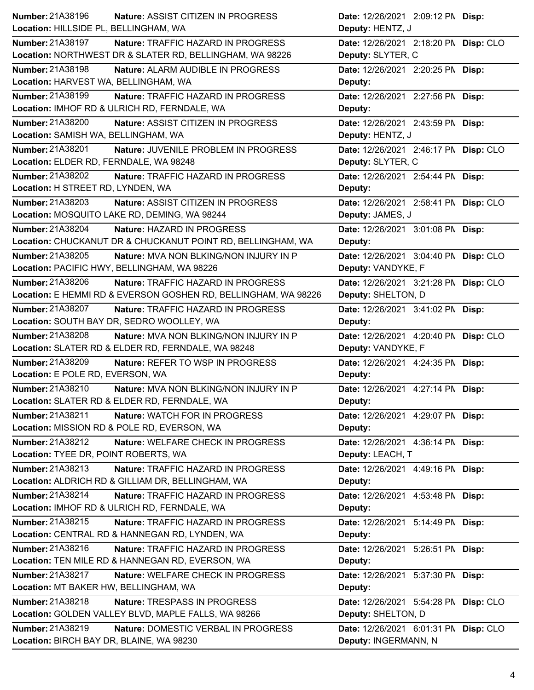| Number: 21A38196                       | Nature: ASSIST CITIZEN IN PROGRESS                             | Date: 12/26/2021 2:09:12 PM Disp:     |
|----------------------------------------|----------------------------------------------------------------|---------------------------------------|
| Location: HILLSIDE PL, BELLINGHAM, WA  |                                                                | Deputy: HENTZ, J                      |
| <b>Number: 21A38197</b>                | Nature: TRAFFIC HAZARD IN PROGRESS                             | Date: 12/26/2021 2:18:20 PN Disp: CLO |
|                                        | Location: NORTHWEST DR & SLATER RD, BELLINGHAM, WA 98226       | Deputy: SLYTER, C                     |
| <b>Number: 21A38198</b>                | Nature: ALARM AUDIBLE IN PROGRESS                              | Date: 12/26/2021 2:20:25 PM Disp:     |
| Location: HARVEST WA, BELLINGHAM, WA   |                                                                | Deputy:                               |
| <b>Number: 21A38199</b>                | Nature: TRAFFIC HAZARD IN PROGRESS                             | Date: 12/26/2021 2:27:56 PM Disp:     |
|                                        | Location: IMHOF RD & ULRICH RD, FERNDALE, WA                   | Deputy:                               |
| Number: 21A38200                       | Nature: ASSIST CITIZEN IN PROGRESS                             | Date: 12/26/2021 2:43:59 PM Disp:     |
| Location: SAMISH WA, BELLINGHAM, WA    |                                                                | Deputy: HENTZ, J                      |
| Number: 21A38201                       | Nature: JUVENILE PROBLEM IN PROGRESS                           | Date: 12/26/2021 2:46:17 PN Disp: CLO |
| Location: ELDER RD, FERNDALE, WA 98248 |                                                                | Deputy: SLYTER, C                     |
| Number: 21A38202                       | Nature: TRAFFIC HAZARD IN PROGRESS                             | Date: 12/26/2021 2:54:44 PM Disp:     |
| Location: H STREET RD, LYNDEN, WA      |                                                                | Deputy:                               |
| Number: 21A38203                       | Nature: ASSIST CITIZEN IN PROGRESS                             | Date: 12/26/2021 2:58:41 PM Disp: CLO |
|                                        | Location: MOSQUITO LAKE RD, DEMING, WA 98244                   | Deputy: JAMES, J                      |
| <b>Number: 21A38204</b>                | Nature: HAZARD IN PROGRESS                                     | Date: 12/26/2021 3:01:08 PM Disp:     |
|                                        | Location: CHUCKANUT DR & CHUCKANUT POINT RD, BELLINGHAM, WA    | Deputy:                               |
| Number: 21A38205                       | Nature: MVA NON BLKING/NON INJURY IN P                         | Date: 12/26/2021 3:04:40 PN Disp: CLO |
|                                        | Location: PACIFIC HWY, BELLINGHAM, WA 98226                    | Deputy: VANDYKE, F                    |
| Number: 21A38206                       | Nature: TRAFFIC HAZARD IN PROGRESS                             | Date: 12/26/2021 3:21:28 PM Disp: CLO |
|                                        | Location: E HEMMI RD & EVERSON GOSHEN RD, BELLINGHAM, WA 98226 | Deputy: SHELTON, D                    |
| Number: 21A38207                       | Nature: TRAFFIC HAZARD IN PROGRESS                             | Date: 12/26/2021 3:41:02 PM Disp:     |
|                                        | Location: SOUTH BAY DR, SEDRO WOOLLEY, WA                      | Deputy:                               |
| <b>Number: 21A38208</b>                | <b>Nature: MVA NON BLKING/NON INJURY IN P</b>                  | Date: 12/26/2021 4:20:40 PM Disp: CLO |
|                                        | Location: SLATER RD & ELDER RD, FERNDALE, WA 98248             | Deputy: VANDYKE, F                    |
| <b>Number: 21A38209</b>                | Nature: REFER TO WSP IN PROGRESS                               | Date: 12/26/2021 4:24:35 PM Disp:     |
| Location: E POLE RD, EVERSON, WA       |                                                                | Deputy:                               |
| Number: 21A38210                       | Nature: MVA NON BLKING/NON INJURY IN P                         | Date: 12/26/2021 4:27:14 PM Disp:     |
|                                        | Location: SLATER RD & ELDER RD, FERNDALE, WA                   | Deputy:                               |
| Number: 21A38211                       | Nature: WATCH FOR IN PROGRESS                                  | Date: 12/26/2021 4:29:07 PM Disp:     |
|                                        | Location: MISSION RD & POLE RD, EVERSON, WA                    | Deputy:                               |
| Number: 21A38212                       | Nature: WELFARE CHECK IN PROGRESS                              | Date: 12/26/2021 4:36:14 PM Disp:     |
| Location: TYEE DR, POINT ROBERTS, WA   |                                                                | Deputy: LEACH, T                      |
| Number: 21A38213                       | Nature: TRAFFIC HAZARD IN PROGRESS                             | Date: 12/26/2021 4:49:16 PM Disp:     |
|                                        | Location: ALDRICH RD & GILLIAM DR, BELLINGHAM, WA              | Deputy:                               |
| Number: 21A38214                       | Nature: TRAFFIC HAZARD IN PROGRESS                             | Date: 12/26/2021 4:53:48 PM Disp:     |
|                                        | Location: IMHOF RD & ULRICH RD, FERNDALE, WA                   | Deputy:                               |
| Number: 21A38215                       | Nature: TRAFFIC HAZARD IN PROGRESS                             | Date: 12/26/2021 5:14:49 PM Disp:     |
|                                        | Location: CENTRAL RD & HANNEGAN RD, LYNDEN, WA                 | Deputy:                               |
| Number: 21A38216                       | <b>Nature: TRAFFIC HAZARD IN PROGRESS</b>                      | Date: 12/26/2021 5:26:51 PM Disp:     |
|                                        | Location: TEN MILE RD & HANNEGAN RD, EVERSON, WA               | Deputy:                               |
| Number: 21A38217                       | Nature: WELFARE CHECK IN PROGRESS                              | Date: 12/26/2021 5:37:30 PM Disp:     |
| Location: MT BAKER HW, BELLINGHAM, WA  |                                                                | Deputy:                               |
| Number: 21A38218                       | Nature: TRESPASS IN PROGRESS                                   | Date: 12/26/2021 5:54:28 PM Disp: CLO |
|                                        | Location: GOLDEN VALLEY BLVD, MAPLE FALLS, WA 98266            | Deputy: SHELTON, D                    |
|                                        |                                                                |                                       |
| Number: 21A38219                       | Nature: DOMESTIC VERBAL IN PROGRESS                            | Date: 12/26/2021 6:01:31 PM Disp: CLO |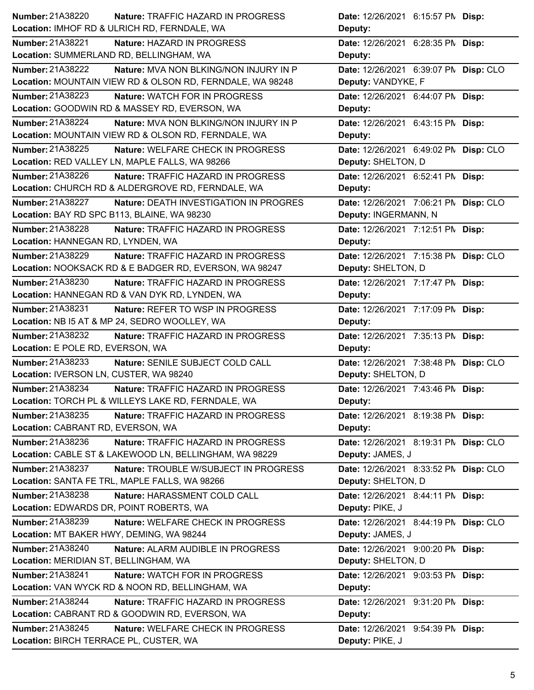| Number: 21A38220<br><b>Nature: TRAFFIC HAZARD IN PROGRESS</b>            | Date: 12/26/2021 6:15:57 PM Disp:     |
|--------------------------------------------------------------------------|---------------------------------------|
| Location: IMHOF RD & ULRICH RD, FERNDALE, WA                             | Deputy:                               |
| <b>Number: 21A38221</b><br>Nature: HAZARD IN PROGRESS                    | Date: 12/26/2021 6:28:35 PM Disp:     |
| Location: SUMMERLAND RD, BELLINGHAM, WA                                  | Deputy:                               |
| Number: 21A38222<br><b>Nature: MVA NON BLKING/NON INJURY IN P</b>        | Date: 12/26/2021 6:39:07 PM Disp: CLO |
| Location: MOUNTAIN VIEW RD & OLSON RD, FERNDALE, WA 98248                | Deputy: VANDYKE, F                    |
| <b>Number: 21A38223</b><br><b>Nature: WATCH FOR IN PROGRESS</b>          | Date: 12/26/2021 6:44:07 PM Disp:     |
| Location: GOODWIN RD & MASSEY RD, EVERSON, WA                            | Deputy:                               |
| <b>Number: 21A38224</b><br><b>Nature: MVA NON BLKING/NON INJURY IN P</b> | Date: 12/26/2021 6:43:15 PM Disp:     |
| Location: MOUNTAIN VIEW RD & OLSON RD, FERNDALE, WA                      | Deputy:                               |
| Number: 21A38225<br>Nature: WELFARE CHECK IN PROGRESS                    | Date: 12/26/2021 6:49:02 PN Disp: CLO |
| Location: RED VALLEY LN, MAPLE FALLS, WA 98266                           | Deputy: SHELTON, D                    |
| Number: 21A38226<br>Nature: TRAFFIC HAZARD IN PROGRESS                   | Date: 12/26/2021 6:52:41 PM Disp:     |
| Location: CHURCH RD & ALDERGROVE RD, FERNDALE, WA                        | Deputy:                               |
| Number: 21A38227<br>Nature: DEATH INVESTIGATION IN PROGRES               | Date: 12/26/2021 7:06:21 PM Disp: CLO |
| Location: BAY RD SPC B113, BLAINE, WA 98230                              | Deputy: INGERMANN, N                  |
| Number: 21A38228<br>Nature: TRAFFIC HAZARD IN PROGRESS                   | Date: 12/26/2021 7:12:51 PM Disp:     |
| Location: HANNEGAN RD, LYNDEN, WA                                        | Deputy:                               |
| Number: 21A38229<br>Nature: TRAFFIC HAZARD IN PROGRESS                   | Date: 12/26/2021 7:15:38 PM Disp: CLO |
| Location: NOOKSACK RD & E BADGER RD, EVERSON, WA 98247                   | Deputy: SHELTON, D                    |
| <b>Number: 21A38230</b><br>Nature: TRAFFIC HAZARD IN PROGRESS            | Date: 12/26/2021 7:17:47 PM Disp:     |
| Location: HANNEGAN RD & VAN DYK RD, LYNDEN, WA                           | Deputy:                               |
| Number: 21A38231<br>Nature: REFER TO WSP IN PROGRESS                     | Date: 12/26/2021 7:17:09 PM Disp:     |
| Location: NB I5 AT & MP 24, SEDRO WOOLLEY, WA                            | Deputy:                               |
|                                                                          | Date: 12/26/2021 7:35:13 PM Disp:     |
| Number: 21A38232<br>Nature: TRAFFIC HAZARD IN PROGRESS                   |                                       |
| Location: E POLE RD, EVERSON, WA                                         | Deputy:                               |
| Number: 21A38233<br>Nature: SENILE SUBJECT COLD CALL                     | Date: 12/26/2021 7:38:48 PN Disp: CLO |
| Location: IVERSON LN, CUSTER, WA 98240                                   | Deputy: SHELTON, D                    |
| Number: 21A38234<br>Nature: TRAFFIC HAZARD IN PROGRESS                   | Date: 12/26/2021 7:43:46 PM Disp:     |
| Location: TORCH PL & WILLEYS LAKE RD, FERNDALE, WA                       | Deputy:                               |
| Number: 21A38235<br>Nature: TRAFFIC HAZARD IN PROGRESS                   | Date: 12/26/2021 8:19:38 PM Disp:     |
| Location: CABRANT RD, EVERSON, WA                                        | Deputy:                               |
| Number: 21A38236<br>Nature: TRAFFIC HAZARD IN PROGRESS                   | Date: 12/26/2021 8:19:31 PN Disp: CLO |
| Location: CABLE ST & LAKEWOOD LN, BELLINGHAM, WA 98229                   | Deputy: JAMES, J                      |
| Number: 21A38237<br>Nature: TROUBLE W/SUBJECT IN PROGRESS                | Date: 12/26/2021 8:33:52 PN Disp: CLO |
| Location: SANTA FE TRL, MAPLE FALLS, WA 98266                            | Deputy: SHELTON, D                    |
| Number: 21A38238<br>Nature: HARASSMENT COLD CALL                         | Date: 12/26/2021 8:44:11 PM Disp:     |
| Location: EDWARDS DR, POINT ROBERTS, WA                                  | Deputy: PIKE, J                       |
| Number: 21A38239<br>Nature: WELFARE CHECK IN PROGRESS                    | Date: 12/26/2021 8:44:19 PN Disp: CLO |
| Location: MT BAKER HWY, DEMING, WA 98244                                 | Deputy: JAMES, J                      |
| Number: 21A38240<br>Nature: ALARM AUDIBLE IN PROGRESS                    | Date: 12/26/2021 9:00:20 PM Disp:     |
| Location: MERIDIAN ST, BELLINGHAM, WA                                    | Deputy: SHELTON, D                    |
| Number: 21A38241<br>Nature: WATCH FOR IN PROGRESS                        | Date: 12/26/2021 9:03:53 PM Disp:     |
| Location: VAN WYCK RD & NOON RD, BELLINGHAM, WA                          | Deputy:                               |
| Number: 21A38244<br>Nature: TRAFFIC HAZARD IN PROGRESS                   | Date: 12/26/2021 9:31:20 PM Disp:     |
| Location: CABRANT RD & GOODWIN RD, EVERSON, WA                           | Deputy:                               |
| Number: 21A38245<br>Nature: WELFARE CHECK IN PROGRESS                    | Date: 12/26/2021 9:54:39 PM Disp:     |